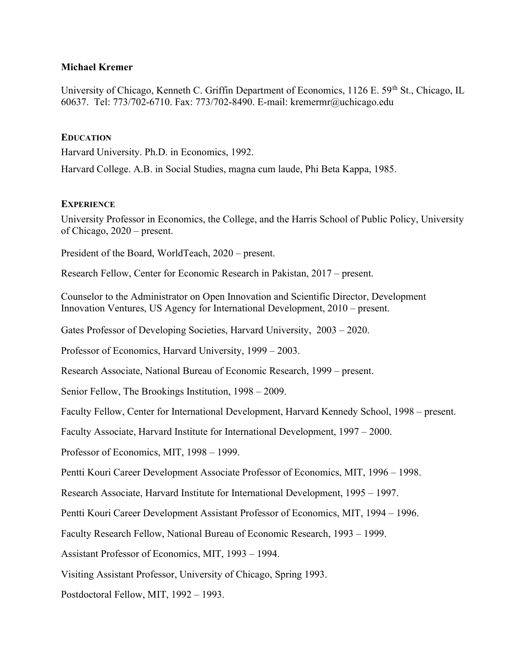#### Michael Kremer

University of Chicago, Kenneth C. Griffin Department of Economics, 1126 E. 59<sup>th</sup> St., Chicago, IL 60637. Tel: 773/702-6710. Fax: 773/702-8490. E-mail: kremermr@uchicago.edu

#### **EDUCATION**

Harvard University. Ph.D. in Economics, 1992.

Harvard College. A.B. in Social Studies, magna cum laude, Phi Beta Kappa, 1985.

## **EXPERIENCE**

University Professor in Economics, the College, and the Harris School of Public Policy, University of Chicago, 2020 – present.

President of the Board, WorldTeach, 2020 – present.

Research Fellow, Center for Economic Research in Pakistan, 2017 – present.

Counselor to the Administrator on Open Innovation and Scientific Director, Development Innovation Ventures, US Agency for International Development, 2010 – present.

Gates Professor of Developing Societies, Harvard University, 2003 – 2020.

Professor of Economics, Harvard University, 1999 – 2003.

Research Associate, National Bureau of Economic Research, 1999 – present.

Senior Fellow, The Brookings Institution, 1998 – 2009.

Faculty Fellow, Center for International Development, Harvard Kennedy School, 1998 – present.

Faculty Associate, Harvard Institute for International Development, 1997 – 2000.

Professor of Economics, MIT, 1998 – 1999.

Pentti Kouri Career Development Associate Professor of Economics, MIT, 1996 – 1998.

Research Associate, Harvard Institute for International Development, 1995 – 1997.

Pentti Kouri Career Development Assistant Professor of Economics, MIT, 1994 – 1996.

Faculty Research Fellow, National Bureau of Economic Research, 1993 – 1999.

Assistant Professor of Economics, MIT, 1993 – 1994.

Visiting Assistant Professor, University of Chicago, Spring 1993.

Postdoctoral Fellow, MIT, 1992 – 1993.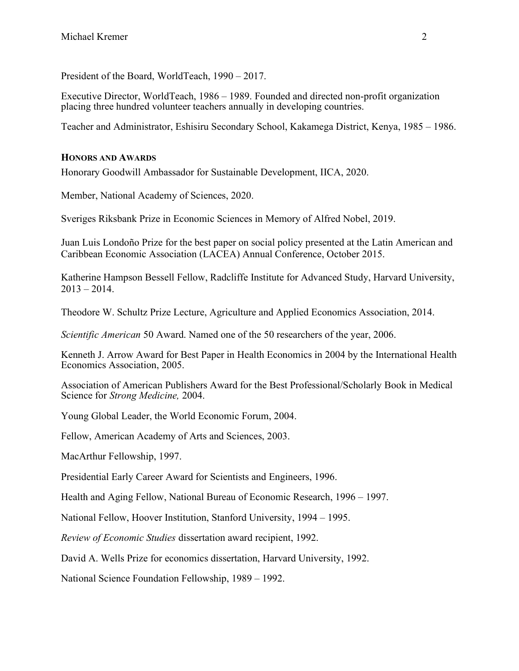President of the Board, WorldTeach, 1990 – 2017.

Executive Director, WorldTeach, 1986 – 1989. Founded and directed non-profit organization placing three hundred volunteer teachers annually in developing countries.

Teacher and Administrator, Eshisiru Secondary School, Kakamega District, Kenya, 1985 – 1986.

## HONORS AND AWARDS

Honorary Goodwill Ambassador for Sustainable Development, IICA, 2020.

Member, National Academy of Sciences, 2020.

Sveriges Riksbank Prize in Economic Sciences in Memory of Alfred Nobel, 2019.

Juan Luis Londoño Prize for the best paper on social policy presented at the Latin American and Caribbean Economic Association (LACEA) Annual Conference, October 2015.

Katherine Hampson Bessell Fellow, Radcliffe Institute for Advanced Study, Harvard University,  $2013 - 2014.$ 

Theodore W. Schultz Prize Lecture, Agriculture and Applied Economics Association, 2014.

Scientific American 50 Award. Named one of the 50 researchers of the year, 2006.

Kenneth J. Arrow Award for Best Paper in Health Economics in 2004 by the International Health Economics Association, 2005.

Association of American Publishers Award for the Best Professional/Scholarly Book in Medical Science for Strong Medicine, 2004.

Young Global Leader, the World Economic Forum, 2004.

Fellow, American Academy of Arts and Sciences, 2003.

MacArthur Fellowship, 1997.

Presidential Early Career Award for Scientists and Engineers, 1996.

Health and Aging Fellow, National Bureau of Economic Research, 1996 – 1997.

National Fellow, Hoover Institution, Stanford University, 1994 – 1995.

Review of Economic Studies dissertation award recipient, 1992.

David A. Wells Prize for economics dissertation, Harvard University, 1992.

National Science Foundation Fellowship, 1989 – 1992.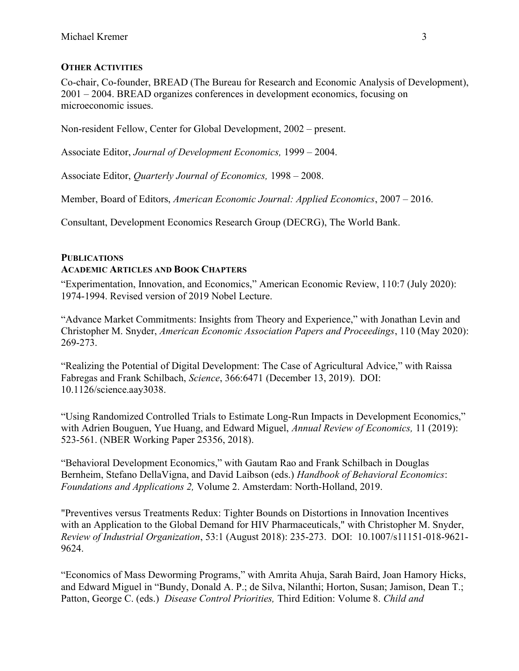## OTHER ACTIVITIES

Co-chair, Co-founder, BREAD (The Bureau for Research and Economic Analysis of Development), 2001 – 2004. BREAD organizes conferences in development economics, focusing on microeconomic issues.

Non-resident Fellow, Center for Global Development, 2002 – present.

Associate Editor, Journal of Development Economics, 1999 – 2004.

Associate Editor, Quarterly Journal of Economics, 1998 – 2008.

Member, Board of Editors, American Economic Journal: Applied Economics, 2007 – 2016.

Consultant, Development Economics Research Group (DECRG), The World Bank.

## PUBLICATIONS ACADEMIC ARTICLES AND BOOK CHAPTERS

"Experimentation, Innovation, and Economics," American Economic Review, 110:7 (July 2020): 1974-1994. Revised version of 2019 Nobel Lecture.

"Advance Market Commitments: Insights from Theory and Experience," with Jonathan Levin and Christopher M. Snyder, American Economic Association Papers and Proceedings, 110 (May 2020): 269-273.

"Realizing the Potential of Digital Development: The Case of Agricultural Advice," with Raissa Fabregas and Frank Schilbach, Science, 366:6471 (December 13, 2019). DOI: 10.1126/science.aay3038.

"Using Randomized Controlled Trials to Estimate Long-Run Impacts in Development Economics," with Adrien Bouguen, Yue Huang, and Edward Miguel, Annual Review of Economics, 11 (2019): 523-561. (NBER Working Paper 25356, 2018).

"Behavioral Development Economics," with Gautam Rao and Frank Schilbach in Douglas Bernheim, Stefano DellaVigna, and David Laibson (eds.) Handbook of Behavioral Economics: Foundations and Applications 2, Volume 2. Amsterdam: North-Holland, 2019.

"Preventives versus Treatments Redux: Tighter Bounds on Distortions in Innovation Incentives with an Application to the Global Demand for HIV Pharmaceuticals," with Christopher M. Snyder, Review of Industrial Organization, 53:1 (August 2018): 235-273. DOI: 10.1007/s11151-018-9621- 9624.

"Economics of Mass Deworming Programs," with Amrita Ahuja, Sarah Baird, Joan Hamory Hicks, and Edward Miguel in "Bundy, Donald A. P.; de Silva, Nilanthi; Horton, Susan; Jamison, Dean T.; Patton, George C. (eds.) Disease Control Priorities, Third Edition: Volume 8. Child and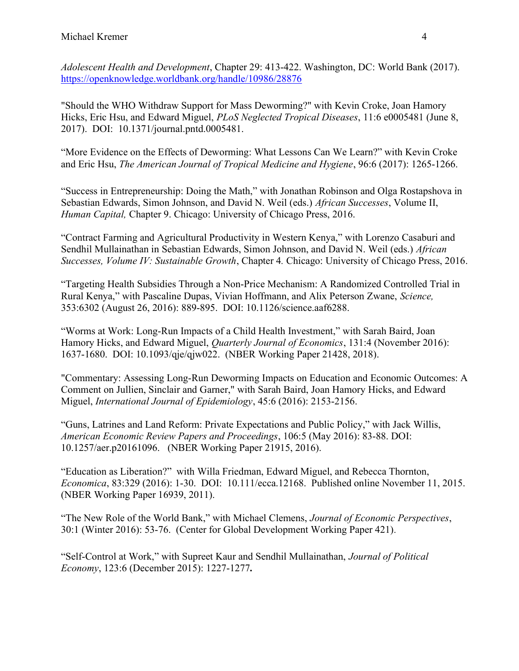Adolescent Health and Development, Chapter 29: 413-422. Washington, DC: World Bank (2017). https://openknowledge.worldbank.org/handle/10986/28876

"Should the WHO Withdraw Support for Mass Deworming?" with Kevin Croke, Joan Hamory Hicks, Eric Hsu, and Edward Miguel, PLoS Neglected Tropical Diseases, 11:6 e0005481 (June 8, 2017). DOI: 10.1371/journal.pntd.0005481.

"More Evidence on the Effects of Deworming: What Lessons Can We Learn?" with Kevin Croke and Eric Hsu, The American Journal of Tropical Medicine and Hygiene, 96:6 (2017): 1265-1266.

"Success in Entrepreneurship: Doing the Math," with Jonathan Robinson and Olga Rostapshova in Sebastian Edwards, Simon Johnson, and David N. Weil (eds.) African Successes, Volume II, Human Capital, Chapter 9. Chicago: University of Chicago Press, 2016.

"Contract Farming and Agricultural Productivity in Western Kenya," with Lorenzo Casaburi and Sendhil Mullainathan in Sebastian Edwards, Simon Johnson, and David N. Weil (eds.) African Successes, Volume IV: Sustainable Growth, Chapter 4. Chicago: University of Chicago Press, 2016.

"Targeting Health Subsidies Through a Non-Price Mechanism: A Randomized Controlled Trial in Rural Kenya," with Pascaline Dupas, Vivian Hoffmann, and Alix Peterson Zwane, Science, 353:6302 (August 26, 2016): 889-895. DOI: 10.1126/science.aaf6288.

"Worms at Work: Long-Run Impacts of a Child Health Investment," with Sarah Baird, Joan Hamory Hicks, and Edward Miguel, Quarterly Journal of Economics, 131:4 (November 2016): 1637-1680. DOI: 10.1093/qje/qjw022. (NBER Working Paper 21428, 2018).

"Commentary: Assessing Long-Run Deworming Impacts on Education and Economic Outcomes: A Comment on Jullien, Sinclair and Garner," with Sarah Baird, Joan Hamory Hicks, and Edward Miguel, International Journal of Epidemiology, 45:6 (2016): 2153-2156.

"Guns, Latrines and Land Reform: Private Expectations and Public Policy," with Jack Willis, American Economic Review Papers and Proceedings, 106:5 (May 2016): 83-88. DOI: 10.1257/aer.p20161096. (NBER Working Paper 21915, 2016).

"Education as Liberation?" with Willa Friedman, Edward Miguel, and Rebecca Thornton, Economica, 83:329 (2016): 1-30. DOI: 10.111/ecca.12168. Published online November 11, 2015. (NBER Working Paper 16939, 2011).

"The New Role of the World Bank," with Michael Clemens, Journal of Economic Perspectives, 30:1 (Winter 2016): 53-76. (Center for Global Development Working Paper 421).

"Self-Control at Work," with Supreet Kaur and Sendhil Mullainathan, Journal of Political Economy, 123:6 (December 2015): 1227-1277.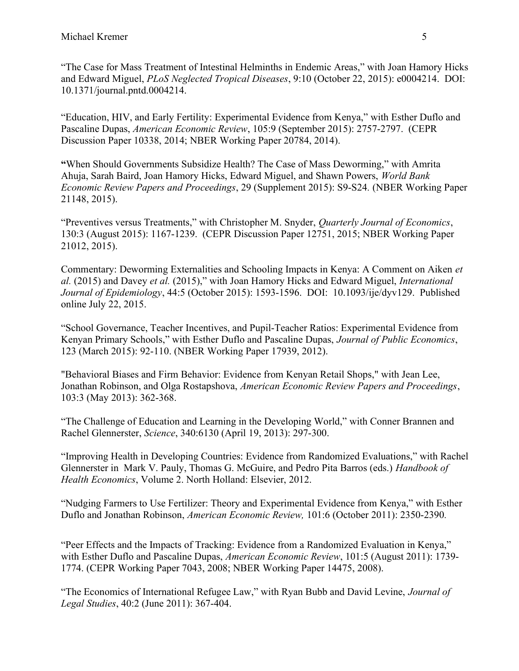"The Case for Mass Treatment of Intestinal Helminths in Endemic Areas," with Joan Hamory Hicks and Edward Miguel, PLoS Neglected Tropical Diseases, 9:10 (October 22, 2015): e0004214. DOI: 10.1371/journal.pntd.0004214.

"Education, HIV, and Early Fertility: Experimental Evidence from Kenya," with Esther Duflo and Pascaline Dupas, American Economic Review, 105:9 (September 2015): 2757-2797. (CEPR Discussion Paper 10338, 2014; NBER Working Paper 20784, 2014).

"When Should Governments Subsidize Health? The Case of Mass Deworming," with Amrita Ahuja, Sarah Baird, Joan Hamory Hicks, Edward Miguel, and Shawn Powers, World Bank Economic Review Papers and Proceedings, 29 (Supplement 2015): S9-S24. (NBER Working Paper 21148, 2015).

"Preventives versus Treatments," with Christopher M. Snyder, Quarterly Journal of Economics, 130:3 (August 2015): 1167-1239. (CEPR Discussion Paper 12751, 2015; NBER Working Paper 21012, 2015).

Commentary: Deworming Externalities and Schooling Impacts in Kenya: A Comment on Aiken et al. (2015) and Davey et al. (2015)," with Joan Hamory Hicks and Edward Miguel, International Journal of Epidemiology, 44:5 (October 2015): 1593-1596. DOI: 10.1093/ije/dyv129. Published online July 22, 2015.

"School Governance, Teacher Incentives, and Pupil-Teacher Ratios: Experimental Evidence from Kenyan Primary Schools," with Esther Duflo and Pascaline Dupas, Journal of Public Economics, 123 (March 2015): 92-110. (NBER Working Paper 17939, 2012).

"Behavioral Biases and Firm Behavior: Evidence from Kenyan Retail Shops," with Jean Lee, Jonathan Robinson, and Olga Rostapshova, American Economic Review Papers and Proceedings, 103:3 (May 2013): 362-368.

"The Challenge of Education and Learning in the Developing World," with Conner Brannen and Rachel Glennerster, Science, 340:6130 (April 19, 2013): 297-300.

"Improving Health in Developing Countries: Evidence from Randomized Evaluations," with Rachel Glennerster in Mark V. Pauly, Thomas G. McGuire, and Pedro Pita Barros (eds.) Handbook of Health Economics, Volume 2. North Holland: Elsevier, 2012.

"Nudging Farmers to Use Fertilizer: Theory and Experimental Evidence from Kenya," with Esther Duflo and Jonathan Robinson, American Economic Review, 101:6 (October 2011): 2350-2390.

"Peer Effects and the Impacts of Tracking: Evidence from a Randomized Evaluation in Kenya," with Esther Duflo and Pascaline Dupas, American Economic Review, 101:5 (August 2011): 1739-1774. (CEPR Working Paper 7043, 2008; NBER Working Paper 14475, 2008).

"The Economics of International Refugee Law," with Ryan Bubb and David Levine, Journal of Legal Studies, 40:2 (June 2011): 367-404.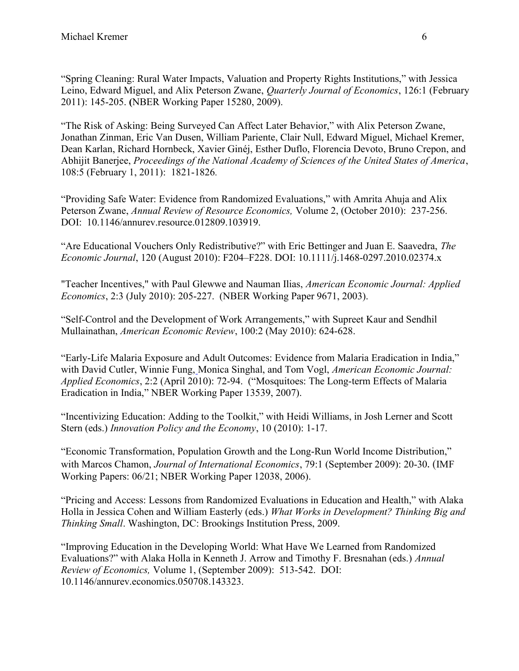"Spring Cleaning: Rural Water Impacts, Valuation and Property Rights Institutions," with Jessica Leino, Edward Miguel, and Alix Peterson Zwane, *Quarterly Journal of Economics*, 126:1 (February 2011): 145-205. (NBER Working Paper 15280, 2009).

"The Risk of Asking: Being Surveyed Can Affect Later Behavior," with Alix Peterson Zwane, Jonathan Zinman, Eric Van Dusen, William Pariente, Clair Null, Edward Miguel, Michael Kremer, Dean Karlan, Richard Hornbeck, Xavier Ginéj, Esther Duflo, Florencia Devoto, Bruno Crepon, and Abhijit Banerjee, Proceedings of the National Academy of Sciences of the United States of America, 108:5 (February 1, 2011): 1821-1826.

"Providing Safe Water: Evidence from Randomized Evaluations," with Amrita Ahuja and Alix Peterson Zwane, Annual Review of Resource Economics, Volume 2, (October 2010): 237-256. DOI: 10.1146/annurev.resource.012809.103919.

"Are Educational Vouchers Only Redistributive?" with Eric Bettinger and Juan E. Saavedra, The Economic Journal, 120 (August 2010): F204–F228. DOI: 10.1111/j.1468-0297.2010.02374.x

"Teacher Incentives," with Paul Glewwe and Nauman Ilias, American Economic Journal: Applied Economics, 2:3 (July 2010): 205-227. (NBER Working Paper 9671, 2003).

"Self-Control and the Development of Work Arrangements," with Supreet Kaur and Sendhil Mullainathan, American Economic Review, 100:2 (May 2010): 624-628.

"Early-Life Malaria Exposure and Adult Outcomes: Evidence from Malaria Eradication in India," with David Cutler, Winnie Fung, Monica Singhal, and Tom Vogl, American Economic Journal: Applied Economics, 2:2 (April 2010): 72-94. ("Mosquitoes: The Long-term Effects of Malaria Eradication in India," NBER Working Paper 13539, 2007).

"Incentivizing Education: Adding to the Toolkit," with Heidi Williams, in Josh Lerner and Scott Stern (eds.) Innovation Policy and the Economy, 10 (2010): 1-17.

"Economic Transformation, Population Growth and the Long-Run World Income Distribution," with Marcos Chamon, *Journal of International Economics*, 79:1 (September 2009): 20-30. (IMF Working Papers: 06/21; NBER Working Paper 12038, 2006).

"Pricing and Access: Lessons from Randomized Evaluations in Education and Health," with Alaka Holla in Jessica Cohen and William Easterly (eds.) What Works in Development? Thinking Big and Thinking Small. Washington, DC: Brookings Institution Press, 2009.

"Improving Education in the Developing World: What Have We Learned from Randomized Evaluations?" with Alaka Holla in Kenneth J. Arrow and Timothy F. Bresnahan (eds.) Annual Review of Economics, Volume 1, (September 2009): 513-542. DOI: 10.1146/annurev.economics.050708.143323.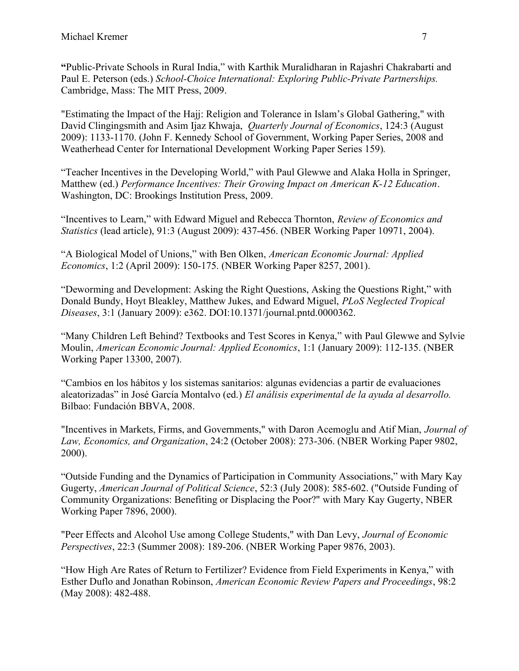"Public-Private Schools in Rural India," with Karthik Muralidharan in Rajashri Chakrabarti and Paul E. Peterson (eds.) School-Choice International: Exploring Public-Private Partnerships. Cambridge, Mass: The MIT Press, 2009.

"Estimating the Impact of the Hajj: Religion and Tolerance in Islam's Global Gathering," with David Clingingsmith and Asim Ijaz Khwaja, *Quarterly Journal of Economics*, 124:3 (August 2009): 1133-1170. (John F. Kennedy School of Government, Working Paper Series, 2008 and Weatherhead Center for International Development Working Paper Series 159).

"Teacher Incentives in the Developing World," with Paul Glewwe and Alaka Holla in Springer, Matthew (ed.) Performance Incentives: Their Growing Impact on American K-12 Education. Washington, DC: Brookings Institution Press, 2009.

"Incentives to Learn," with Edward Miguel and Rebecca Thornton, Review of Economics and Statistics (lead article), 91:3 (August 2009): 437-456. (NBER Working Paper 10971, 2004).

"A Biological Model of Unions," with Ben Olken, American Economic Journal: Applied Economics, 1:2 (April 2009): 150-175. (NBER Working Paper 8257, 2001).

"Deworming and Development: Asking the Right Questions, Asking the Questions Right," with Donald Bundy, Hoyt Bleakley, Matthew Jukes, and Edward Miguel, PLoS Neglected Tropical Diseases, 3:1 (January 2009): e362. DOI:10.1371/journal.pntd.0000362.

"Many Children Left Behind? Textbooks and Test Scores in Kenya," with Paul Glewwe and Sylvie Moulin, American Economic Journal: Applied Economics, 1:1 (January 2009): 112-135. (NBER Working Paper 13300, 2007).

"Cambios en los hábitos y los sistemas sanitarios: algunas evidencias a partir de evaluaciones aleatorizadas" in José García Montalvo (ed.) El análisis experimental de la ayuda al desarrollo. Bilbao: Fundación BBVA, 2008.

"Incentives in Markets, Firms, and Governments," with Daron Acemoglu and Atif Mian, Journal of Law, Economics, and Organization, 24:2 (October 2008): 273-306. (NBER Working Paper 9802, 2000).

"Outside Funding and the Dynamics of Participation in Community Associations," with Mary Kay Gugerty, American Journal of Political Science, 52:3 (July 2008): 585-602. ("Outside Funding of Community Organizations: Benefiting or Displacing the Poor?" with Mary Kay Gugerty, NBER Working Paper 7896, 2000).

"Peer Effects and Alcohol Use among College Students," with Dan Levy, Journal of Economic Perspectives, 22:3 (Summer 2008): 189-206. (NBER Working Paper 9876, 2003).

"How High Are Rates of Return to Fertilizer? Evidence from Field Experiments in Kenya," with Esther Duflo and Jonathan Robinson, American Economic Review Papers and Proceedings, 98:2 (May 2008): 482-488.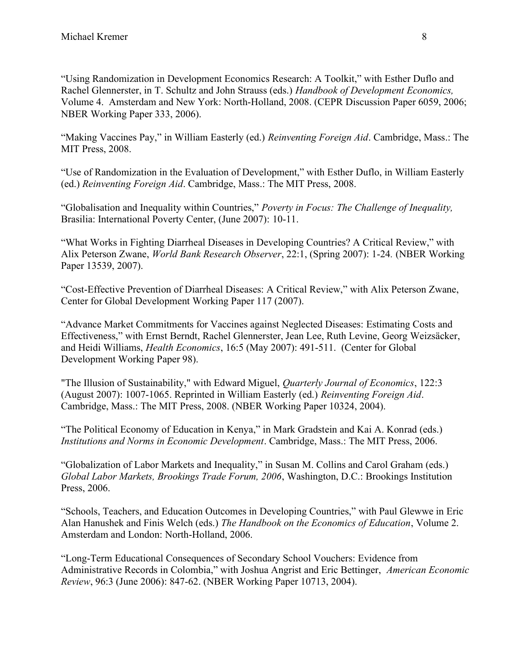"Using Randomization in Development Economics Research: A Toolkit," with Esther Duflo and Rachel Glennerster, in T. Schultz and John Strauss (eds.) Handbook of Development Economics, Volume 4. Amsterdam and New York: North-Holland, 2008. (CEPR Discussion Paper 6059, 2006; NBER Working Paper 333, 2006).

"Making Vaccines Pay," in William Easterly (ed.) Reinventing Foreign Aid. Cambridge, Mass.: The MIT Press, 2008.

"Use of Randomization in the Evaluation of Development," with Esther Duflo, in William Easterly (ed.) Reinventing Foreign Aid. Cambridge, Mass.: The MIT Press, 2008.

"Globalisation and Inequality within Countries," Poverty in Focus: The Challenge of Inequality, Brasilia: International Poverty Center, (June 2007): 10-11.

"What Works in Fighting Diarrheal Diseases in Developing Countries? A Critical Review," with Alix Peterson Zwane, World Bank Research Observer, 22:1, (Spring 2007): 1-24. (NBER Working Paper 13539, 2007).

"Cost-Effective Prevention of Diarrheal Diseases: A Critical Review," with Alix Peterson Zwane, Center for Global Development Working Paper 117 (2007).

"Advance Market Commitments for Vaccines against Neglected Diseases: Estimating Costs and Effectiveness," with Ernst Berndt, Rachel Glennerster, Jean Lee, Ruth Levine, Georg Weizsäcker, and Heidi Williams, Health Economics, 16:5 (May 2007): 491-511. (Center for Global Development Working Paper 98).

"The Illusion of Sustainability," with Edward Miguel, Quarterly Journal of Economics, 122:3 (August 2007): 1007-1065. Reprinted in William Easterly (ed.) Reinventing Foreign Aid. Cambridge, Mass.: The MIT Press, 2008. (NBER Working Paper 10324, 2004).

"The Political Economy of Education in Kenya," in Mark Gradstein and Kai A. Konrad (eds.) Institutions and Norms in Economic Development. Cambridge, Mass.: The MIT Press, 2006.

"Globalization of Labor Markets and Inequality," in Susan M. Collins and Carol Graham (eds.) Global Labor Markets, Brookings Trade Forum, 2006, Washington, D.C.: Brookings Institution Press, 2006.

"Schools, Teachers, and Education Outcomes in Developing Countries," with Paul Glewwe in Eric Alan Hanushek and Finis Welch (eds.) The Handbook on the Economics of Education, Volume 2. Amsterdam and London: North-Holland, 2006.

"Long-Term Educational Consequences of Secondary School Vouchers: Evidence from Administrative Records in Colombia," with Joshua Angrist and Eric Bettinger, American Economic Review, 96:3 (June 2006): 847-62. (NBER Working Paper 10713, 2004).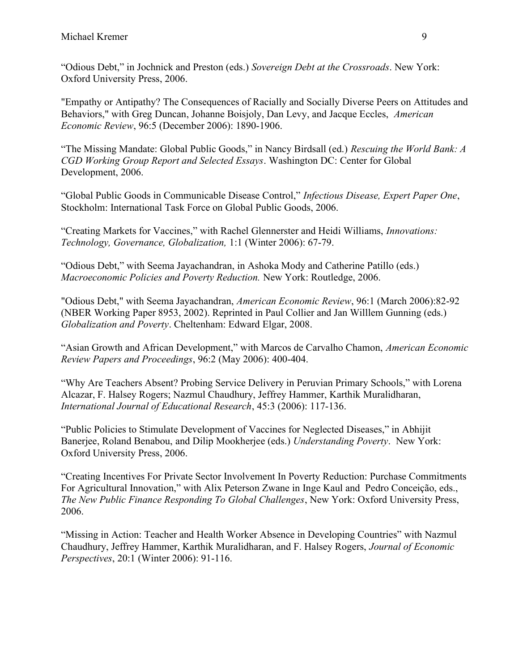"Odious Debt," in Jochnick and Preston (eds.) Sovereign Debt at the Crossroads. New York: Oxford University Press, 2006.

"Empathy or Antipathy? The Consequences of Racially and Socially Diverse Peers on Attitudes and Behaviors," with Greg Duncan, Johanne Boisjoly, Dan Levy, and Jacque Eccles, American Economic Review, 96:5 (December 2006): 1890-1906.

"The Missing Mandate: Global Public Goods," in Nancy Birdsall (ed.) Rescuing the World Bank: A CGD Working Group Report and Selected Essays. Washington DC: Center for Global Development, 2006.

"Global Public Goods in Communicable Disease Control," Infectious Disease, Expert Paper One, Stockholm: International Task Force on Global Public Goods, 2006.

"Creating Markets for Vaccines," with Rachel Glennerster and Heidi Williams, Innovations: Technology, Governance, Globalization, 1:1 (Winter 2006): 67-79.

"Odious Debt," with Seema Jayachandran, in Ashoka Mody and Catherine Patillo (eds.) Macroeconomic Policies and Poverty Reduction. New York: Routledge, 2006.

"Odious Debt," with Seema Jayachandran, American Economic Review, 96:1 (March 2006):82-92 (NBER Working Paper 8953, 2002). Reprinted in Paul Collier and Jan Willlem Gunning (eds.) Globalization and Poverty. Cheltenham: Edward Elgar, 2008.

"Asian Growth and African Development," with Marcos de Carvalho Chamon, American Economic Review Papers and Proceedings, 96:2 (May 2006): 400-404.

"Why Are Teachers Absent? Probing Service Delivery in Peruvian Primary Schools," with Lorena Alcazar, F. Halsey Rogers; Nazmul Chaudhury, Jeffrey Hammer, Karthik Muralidharan, International Journal of Educational Research, 45:3 (2006): 117-136.

"Public Policies to Stimulate Development of Vaccines for Neglected Diseases," in Abhijit Banerjee, Roland Benabou, and Dilip Mookherjee (eds.) Understanding Poverty. New York: Oxford University Press, 2006.

"Creating Incentives For Private Sector Involvement In Poverty Reduction: Purchase Commitments For Agricultural Innovation," with Alix Peterson Zwane in Inge Kaul and Pedro Conceição, eds., The New Public Finance Responding To Global Challenges, New York: Oxford University Press, 2006.

"Missing in Action: Teacher and Health Worker Absence in Developing Countries" with Nazmul Chaudhury, Jeffrey Hammer, Karthik Muralidharan, and F. Halsey Rogers, Journal of Economic Perspectives, 20:1 (Winter 2006): 91-116.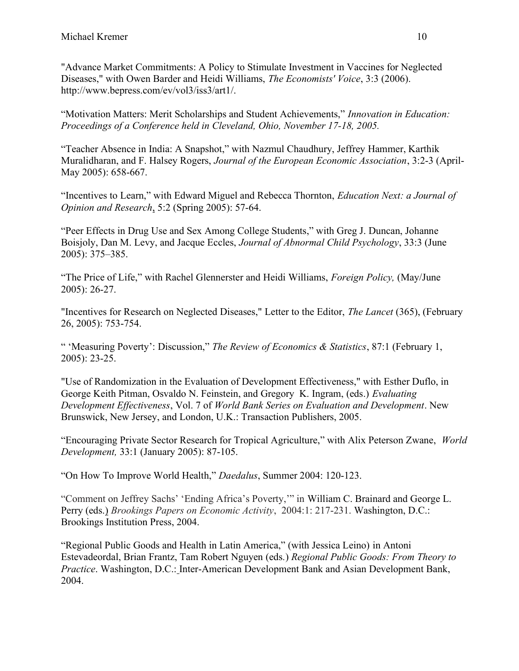"Advance Market Commitments: A Policy to Stimulate Investment in Vaccines for Neglected Diseases," with Owen Barder and Heidi Williams, The Economists' Voice, 3:3 (2006). http://www.bepress.com/ev/vol3/iss3/art1/.

"Motivation Matters: Merit Scholarships and Student Achievements," Innovation in Education: Proceedings of a Conference held in Cleveland, Ohio, November 17-18, 2005.

"Teacher Absence in India: A Snapshot," with Nazmul Chaudhury, Jeffrey Hammer, Karthik Muralidharan, and F. Halsey Rogers, Journal of the European Economic Association, 3:2-3 (April-May 2005): 658-667.

"Incentives to Learn," with Edward Miguel and Rebecca Thornton, Education Next: a Journal of Opinion and Research, 5:2 (Spring 2005): 57-64.

"Peer Effects in Drug Use and Sex Among College Students," with Greg J. Duncan, Johanne Boisjoly, Dan M. Levy, and Jacque Eccles, Journal of Abnormal Child Psychology, 33:3 (June 2005): 375–385.

"The Price of Life," with Rachel Glennerster and Heidi Williams, Foreign Policy, (May/June 2005): 26-27.

"Incentives for Research on Neglected Diseases," Letter to the Editor, The Lancet (365), (February 26, 2005): 753-754.

" 'Measuring Poverty': Discussion," The Review of Economics & Statistics, 87:1 (February 1, 2005): 23-25.

"Use of Randomization in the Evaluation of Development Effectiveness," with Esther Duflo, in George Keith Pitman, Osvaldo N. Feinstein, and Gregory K. Ingram, (eds.) Evaluating Development Effectiveness, Vol. 7 of World Bank Series on Evaluation and Development. New Brunswick, New Jersey, and London, U.K.: Transaction Publishers, 2005.

"Encouraging Private Sector Research for Tropical Agriculture," with Alix Peterson Zwane, World Development, 33:1 (January 2005): 87-105.

"On How To Improve World Health," Daedalus, Summer 2004: 120-123.

"Comment on Jeffrey Sachs' 'Ending Africa's Poverty,'" in William C. Brainard and George L. Perry (eds.) Brookings Papers on Economic Activity, 2004:1: 217-231. Washington, D.C.: Brookings Institution Press, 2004.

"Regional Public Goods and Health in Latin America," (with Jessica Leino) in Antoni Estevadeordal, Brian Frantz, Tam Robert Nguyen (eds.) Regional Public Goods: From Theory to Practice. Washington, D.C.: Inter-American Development Bank and Asian Development Bank, 2004.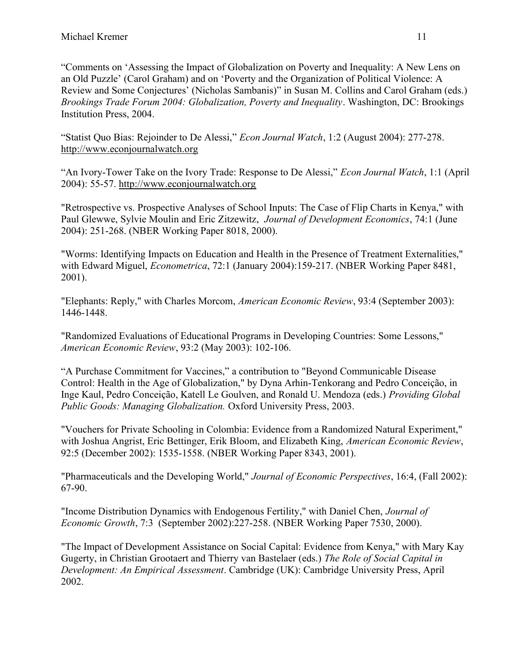"Comments on 'Assessing the Impact of Globalization on Poverty and Inequality: A New Lens on an Old Puzzle' (Carol Graham) and on 'Poverty and the Organization of Political Violence: A Review and Some Conjectures' (Nicholas Sambanis)" in Susan M. Collins and Carol Graham (eds.) Brookings Trade Forum 2004: Globalization, Poverty and Inequality. Washington, DC: Brookings Institution Press, 2004.

"Statist Quo Bias: Rejoinder to De Alessi," Econ Journal Watch, 1:2 (August 2004): 277-278. http://www.econjournalwatch.org

"An Ivory-Tower Take on the Ivory Trade: Response to De Alessi," Econ Journal Watch, 1:1 (April 2004): 55-57. http://www.econjournalwatch.org

"Retrospective vs. Prospective Analyses of School Inputs: The Case of Flip Charts in Kenya," with Paul Glewwe, Sylvie Moulin and Eric Zitzewitz, Journal of Development Economics, 74:1 (June 2004): 251-268. (NBER Working Paper 8018, 2000).

"Worms: Identifying Impacts on Education and Health in the Presence of Treatment Externalities," with Edward Miguel, *Econometrica*, 72:1 (January 2004):159-217. (NBER Working Paper 8481, 2001).

"Elephants: Reply," with Charles Morcom, American Economic Review, 93:4 (September 2003): 1446-1448.

"Randomized Evaluations of Educational Programs in Developing Countries: Some Lessons," American Economic Review, 93:2 (May 2003): 102-106.

"A Purchase Commitment for Vaccines," a contribution to "Beyond Communicable Disease Control: Health in the Age of Globalization," by Dyna Arhin-Tenkorang and Pedro Conceição, in Inge Kaul, Pedro Conceição, Katell Le Goulven, and Ronald U. Mendoza (eds.) Providing Global Public Goods: Managing Globalization. Oxford University Press, 2003.

"Vouchers for Private Schooling in Colombia: Evidence from a Randomized Natural Experiment," with Joshua Angrist, Eric Bettinger, Erik Bloom, and Elizabeth King, American Economic Review, 92:5 (December 2002): 1535-1558. (NBER Working Paper 8343, 2001).

"Pharmaceuticals and the Developing World," Journal of Economic Perspectives, 16:4, (Fall 2002): 67-90.

"Income Distribution Dynamics with Endogenous Fertility," with Daniel Chen, Journal of Economic Growth, 7:3 (September 2002):227-258. (NBER Working Paper 7530, 2000).

"The Impact of Development Assistance on Social Capital: Evidence from Kenya," with Mary Kay Gugerty, in Christian Grootaert and Thierry van Bastelaer (eds.) The Role of Social Capital in Development: An Empirical Assessment. Cambridge (UK): Cambridge University Press, April 2002.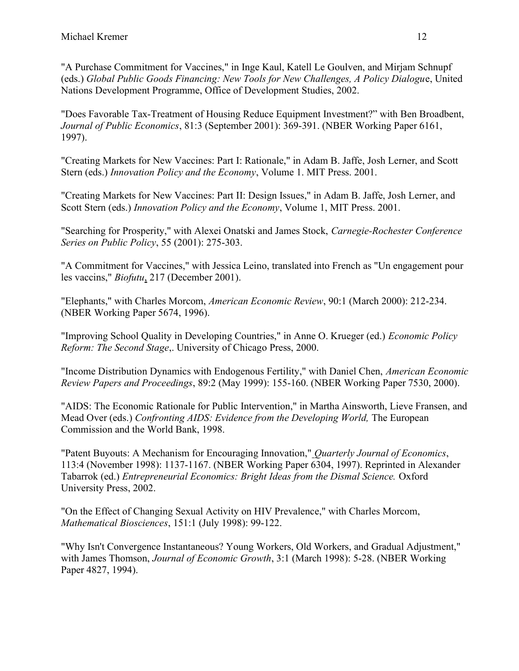"A Purchase Commitment for Vaccines," in Inge Kaul, Katell Le Goulven, and Mirjam Schnupf (eds.) Global Public Goods Financing: New Tools for New Challenges, A Policy Dialogue, United Nations Development Programme, Office of Development Studies, 2002.

"Does Favorable Tax-Treatment of Housing Reduce Equipment Investment?" with Ben Broadbent, Journal of Public Economics, 81:3 (September 2001): 369-391. (NBER Working Paper 6161, 1997).

"Creating Markets for New Vaccines: Part I: Rationale," in Adam B. Jaffe, Josh Lerner, and Scott Stern (eds.) Innovation Policy and the Economy, Volume 1. MIT Press. 2001.

"Creating Markets for New Vaccines: Part II: Design Issues," in Adam B. Jaffe, Josh Lerner, and Scott Stern (eds.) Innovation Policy and the Economy, Volume 1, MIT Press. 2001.

"Searching for Prosperity," with Alexei Onatski and James Stock, Carnegie-Rochester Conference Series on Public Policy, 55 (2001): 275-303.

"A Commitment for Vaccines," with Jessica Leino, translated into French as "Un engagement pour les vaccins," Biofutu, 217 (December 2001).

"Elephants," with Charles Morcom, American Economic Review, 90:1 (March 2000): 212-234. (NBER Working Paper 5674, 1996).

"Improving School Quality in Developing Countries," in Anne O. Krueger (ed.) Economic Policy Reform: The Second Stage,. University of Chicago Press, 2000.

"Income Distribution Dynamics with Endogenous Fertility," with Daniel Chen, American Economic Review Papers and Proceedings, 89:2 (May 1999): 155-160. (NBER Working Paper 7530, 2000).

"AIDS: The Economic Rationale for Public Intervention," in Martha Ainsworth, Lieve Fransen, and Mead Over (eds.) Confronting AIDS: Evidence from the Developing World, The European Commission and the World Bank, 1998.

"Patent Buyouts: A Mechanism for Encouraging Innovation," Quarterly Journal of Economics, 113:4 (November 1998): 1137-1167. (NBER Working Paper 6304, 1997). Reprinted in Alexander Tabarrok (ed.) Entrepreneurial Economics: Bright Ideas from the Dismal Science. Oxford University Press, 2002.

"On the Effect of Changing Sexual Activity on HIV Prevalence," with Charles Morcom, Mathematical Biosciences, 151:1 (July 1998): 99-122.

"Why Isn't Convergence Instantaneous? Young Workers, Old Workers, and Gradual Adjustment," with James Thomson, *Journal of Economic Growth*, 3:1 (March 1998): 5-28. (NBER Working Paper 4827, 1994).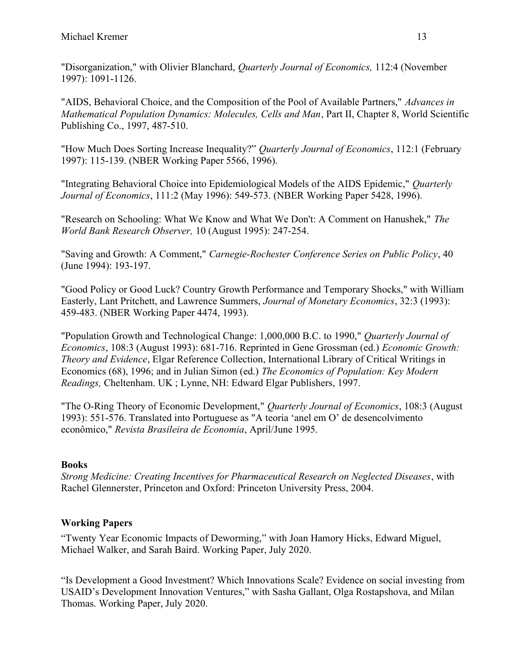"Disorganization," with Olivier Blanchard, Quarterly Journal of Economics, 112:4 (November 1997): 1091-1126.

"AIDS, Behavioral Choice, and the Composition of the Pool of Available Partners," Advances in Mathematical Population Dynamics: Molecules, Cells and Man, Part II, Chapter 8, World Scientific Publishing Co., 1997, 487-510.

"How Much Does Sorting Increase Inequality?" Quarterly Journal of Economics, 112:1 (February 1997): 115-139. (NBER Working Paper 5566, 1996).

"Integrating Behavioral Choice into Epidemiological Models of the AIDS Epidemic," Quarterly Journal of Economics, 111:2 (May 1996): 549-573. (NBER Working Paper 5428, 1996).

"Research on Schooling: What We Know and What We Don't: A Comment on Hanushek," The World Bank Research Observer, 10 (August 1995): 247-254.

"Saving and Growth: A Comment," Carnegie-Rochester Conference Series on Public Policy, 40 (June 1994): 193-197.

"Good Policy or Good Luck? Country Growth Performance and Temporary Shocks," with William Easterly, Lant Pritchett, and Lawrence Summers, Journal of Monetary Economics, 32:3 (1993): 459-483. (NBER Working Paper 4474, 1993).

"Population Growth and Technological Change: 1,000,000 B.C. to 1990," Quarterly Journal of Economics, 108:3 (August 1993): 681-716. Reprinted in Gene Grossman (ed.) Economic Growth: Theory and Evidence, Elgar Reference Collection, International Library of Critical Writings in Economics (68), 1996; and in Julian Simon (ed.) The Economics of Population: Key Modern Readings, Cheltenham. UK ; Lynne, NH: Edward Elgar Publishers, 1997.

"The O-Ring Theory of Economic Development," Quarterly Journal of Economics, 108:3 (August 1993): 551-576. Translated into Portuguese as "A teoria 'anel em O' de desencolvimento econômico," Revista Brasileira de Economia, April/June 1995.

# Books

Strong Medicine: Creating Incentives for Pharmaceutical Research on Neglected Diseases, with Rachel Glennerster, Princeton and Oxford: Princeton University Press, 2004.

# Working Papers

"Twenty Year Economic Impacts of Deworming," with Joan Hamory Hicks, Edward Miguel, Michael Walker, and Sarah Baird. Working Paper, July 2020.

"Is Development a Good Investment? Which Innovations Scale? Evidence on social investing from USAID's Development Innovation Ventures," with Sasha Gallant, Olga Rostapshova, and Milan Thomas. Working Paper, July 2020.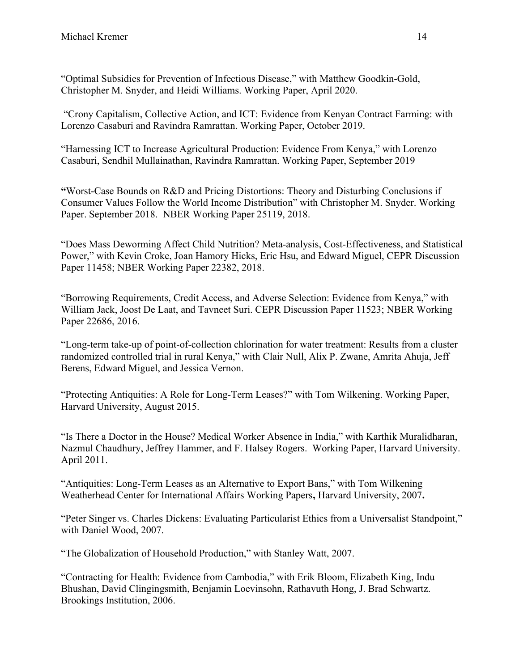"Optimal Subsidies for Prevention of Infectious Disease," with Matthew Goodkin-Gold, Christopher M. Snyder, and Heidi Williams. Working Paper, April 2020.

 "Crony Capitalism, Collective Action, and ICT: Evidence from Kenyan Contract Farming: with Lorenzo Casaburi and Ravindra Ramrattan. Working Paper, October 2019.

"Harnessing ICT to Increase Agricultural Production: Evidence From Kenya," with Lorenzo Casaburi, Sendhil Mullainathan, Ravindra Ramrattan. Working Paper, September 2019

"Worst-Case Bounds on R&D and Pricing Distortions: Theory and Disturbing Conclusions if Consumer Values Follow the World Income Distribution" with Christopher M. Snyder. Working Paper. September 2018. NBER Working Paper 25119, 2018.

"Does Mass Deworming Affect Child Nutrition? Meta-analysis, Cost-Effectiveness, and Statistical Power," with Kevin Croke, Joan Hamory Hicks, Eric Hsu, and Edward Miguel, CEPR Discussion Paper 11458; NBER Working Paper 22382, 2018.

"Borrowing Requirements, Credit Access, and Adverse Selection: Evidence from Kenya," with William Jack, Joost De Laat, and Tavneet Suri. CEPR Discussion Paper 11523; NBER Working Paper 22686, 2016.

"Long-term take-up of point-of-collection chlorination for water treatment: Results from a cluster randomized controlled trial in rural Kenya," with Clair Null, Alix P. Zwane, Amrita Ahuja, Jeff Berens, Edward Miguel, and Jessica Vernon.

"Protecting Antiquities: A Role for Long-Term Leases?" with Tom Wilkening. Working Paper, Harvard University, August 2015.

"Is There a Doctor in the House? Medical Worker Absence in India," with Karthik Muralidharan, Nazmul Chaudhury, Jeffrey Hammer, and F. Halsey Rogers. Working Paper, Harvard University. April 2011.

"Antiquities: Long-Term Leases as an Alternative to Export Bans," with Tom Wilkening Weatherhead Center for International Affairs Working Papers, Harvard University, 2007.

"Peter Singer vs. Charles Dickens: Evaluating Particularist Ethics from a Universalist Standpoint," with Daniel Wood, 2007.

"The Globalization of Household Production," with Stanley Watt, 2007.

"Contracting for Health: Evidence from Cambodia," with Erik Bloom, Elizabeth King, Indu Bhushan, David Clingingsmith, Benjamin Loevinsohn, Rathavuth Hong, J. Brad Schwartz. Brookings Institution, 2006.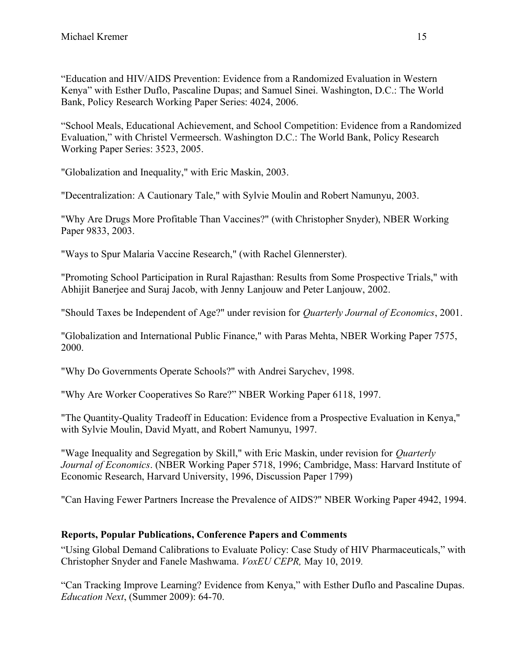"Education and HIV/AIDS Prevention: Evidence from a Randomized Evaluation in Western Kenya" with Esther Duflo, Pascaline Dupas; and Samuel Sinei. Washington, D.C.: The World Bank, Policy Research Working Paper Series: 4024, 2006.

"School Meals, Educational Achievement, and School Competition: Evidence from a Randomized Evaluation," with Christel Vermeersch. Washington D.C.: The World Bank, Policy Research Working Paper Series: 3523, 2005.

"Globalization and Inequality," with Eric Maskin, 2003.

"Decentralization: A Cautionary Tale," with Sylvie Moulin and Robert Namunyu, 2003.

"Why Are Drugs More Profitable Than Vaccines?" (with Christopher Snyder), NBER Working Paper 9833, 2003.

"Ways to Spur Malaria Vaccine Research," (with Rachel Glennerster).

"Promoting School Participation in Rural Rajasthan: Results from Some Prospective Trials," with Abhijit Banerjee and Suraj Jacob, with Jenny Lanjouw and Peter Lanjouw, 2002.

"Should Taxes be Independent of Age?" under revision for Quarterly Journal of Economics, 2001.

"Globalization and International Public Finance," with Paras Mehta, NBER Working Paper 7575, 2000.

"Why Do Governments Operate Schools?" with Andrei Sarychev, 1998.

"Why Are Worker Cooperatives So Rare?" NBER Working Paper 6118, 1997.

"The Quantity-Quality Tradeoff in Education: Evidence from a Prospective Evaluation in Kenya," with Sylvie Moulin, David Myatt, and Robert Namunyu, 1997.

"Wage Inequality and Segregation by Skill," with Eric Maskin, under revision for Quarterly Journal of Economics. (NBER Working Paper 5718, 1996; Cambridge, Mass: Harvard Institute of Economic Research, Harvard University, 1996, Discussion Paper 1799)

"Can Having Fewer Partners Increase the Prevalence of AIDS?" NBER Working Paper 4942, 1994.

# Reports, Popular Publications, Conference Papers and Comments

"Using Global Demand Calibrations to Evaluate Policy: Case Study of HIV Pharmaceuticals," with Christopher Snyder and Fanele Mashwama. VoxEU CEPR, May 10, 2019.

"Can Tracking Improve Learning? Evidence from Kenya," with Esther Duflo and Pascaline Dupas. Education Next, (Summer 2009): 64-70.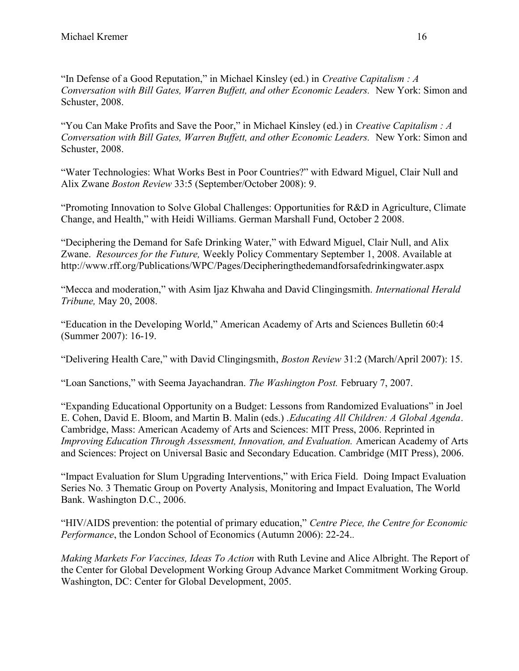"In Defense of a Good Reputation," in Michael Kinsley (ed.) in Creative Capitalism : A Conversation with Bill Gates, Warren Buffett, and other Economic Leaders. New York: Simon and Schuster, 2008.

"You Can Make Profits and Save the Poor," in Michael Kinsley (ed.) in Creative Capitalism :  $A$ Conversation with Bill Gates, Warren Buffett, and other Economic Leaders. New York: Simon and Schuster, 2008.

"Water Technologies: What Works Best in Poor Countries?" with Edward Miguel, Clair Null and Alix Zwane Boston Review 33:5 (September/October 2008): 9.

"Promoting Innovation to Solve Global Challenges: Opportunities for R&D in Agriculture, Climate Change, and Health," with Heidi Williams. German Marshall Fund, October 2 2008.

"Deciphering the Demand for Safe Drinking Water," with Edward Miguel, Clair Null, and Alix Zwane. Resources for the Future, Weekly Policy Commentary September 1, 2008. Available at http://www.rff.org/Publications/WPC/Pages/Decipheringthedemandforsafedrinkingwater.aspx

"Mecca and moderation," with Asim Ijaz Khwaha and David Clingingsmith. International Herald Tribune, May 20, 2008.

"Education in the Developing World," American Academy of Arts and Sciences Bulletin 60:4 (Summer 2007): 16-19.

"Delivering Health Care," with David Clingingsmith, Boston Review 31:2 (March/April 2007): 15.

"Loan Sanctions," with Seema Jayachandran. The Washington Post. February 7, 2007.

"Expanding Educational Opportunity on a Budget: Lessons from Randomized Evaluations" in Joel E. Cohen, David E. Bloom, and Martin B. Malin (eds.) .Educating All Children: A Global Agenda. Cambridge, Mass: American Academy of Arts and Sciences: MIT Press, 2006. Reprinted in Improving Education Through Assessment, Innovation, and Evaluation. American Academy of Arts and Sciences: Project on Universal Basic and Secondary Education. Cambridge (MIT Press), 2006.

"Impact Evaluation for Slum Upgrading Interventions," with Erica Field. Doing Impact Evaluation Series No. 3 Thematic Group on Poverty Analysis, Monitoring and Impact Evaluation, The World Bank. Washington D.C., 2006.

"HIV/AIDS prevention: the potential of primary education," Centre Piece, the Centre for Economic Performance, the London School of Economics (Autumn 2006): 22-24..

Making Markets For Vaccines, Ideas To Action with Ruth Levine and Alice Albright. The Report of the Center for Global Development Working Group Advance Market Commitment Working Group. Washington, DC: Center for Global Development, 2005.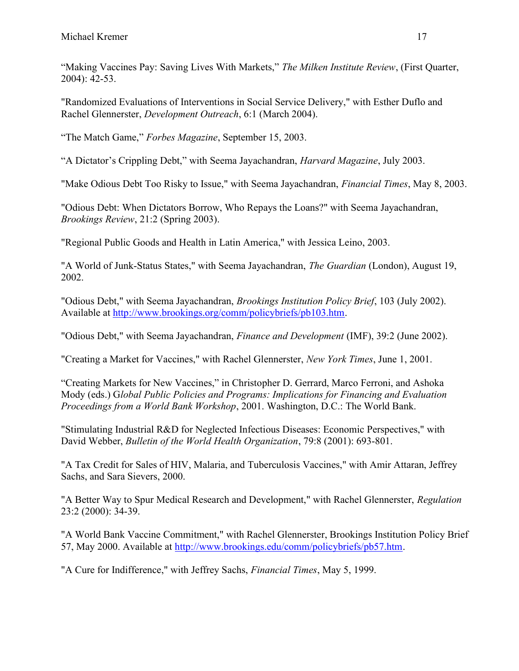"Making Vaccines Pay: Saving Lives With Markets," The Milken Institute Review, (First Quarter, 2004): 42-53.

"Randomized Evaluations of Interventions in Social Service Delivery," with Esther Duflo and Rachel Glennerster, Development Outreach, 6:1 (March 2004).

"The Match Game," Forbes Magazine, September 15, 2003.

"A Dictator's Crippling Debt," with Seema Jayachandran, Harvard Magazine, July 2003.

"Make Odious Debt Too Risky to Issue," with Seema Jayachandran, Financial Times, May 8, 2003.

"Odious Debt: When Dictators Borrow, Who Repays the Loans?" with Seema Jayachandran, Brookings Review, 21:2 (Spring 2003).

"Regional Public Goods and Health in Latin America," with Jessica Leino, 2003.

"A World of Junk-Status States," with Seema Jayachandran, The Guardian (London), August 19, 2002.

"Odious Debt," with Seema Jayachandran, Brookings Institution Policy Brief, 103 (July 2002). Available at http://www.brookings.org/comm/policybriefs/pb103.htm.

"Odious Debt," with Seema Jayachandran, Finance and Development (IMF), 39:2 (June 2002).

"Creating a Market for Vaccines," with Rachel Glennerster, New York Times, June 1, 2001.

"Creating Markets for New Vaccines," in Christopher D. Gerrard, Marco Ferroni, and Ashoka Mody (eds.) Global Public Policies and Programs: Implications for Financing and Evaluation Proceedings from a World Bank Workshop, 2001. Washington, D.C.: The World Bank.

"Stimulating Industrial R&D for Neglected Infectious Diseases: Economic Perspectives," with David Webber, Bulletin of the World Health Organization, 79:8 (2001): 693-801.

"A Tax Credit for Sales of HIV, Malaria, and Tuberculosis Vaccines," with Amir Attaran, Jeffrey Sachs, and Sara Sievers, 2000.

"A Better Way to Spur Medical Research and Development," with Rachel Glennerster, Regulation 23:2 (2000): 34-39.

"A World Bank Vaccine Commitment," with Rachel Glennerster, Brookings Institution Policy Brief 57, May 2000. Available at http://www.brookings.edu/comm/policybriefs/pb57.htm.

"A Cure for Indifference," with Jeffrey Sachs, Financial Times, May 5, 1999.